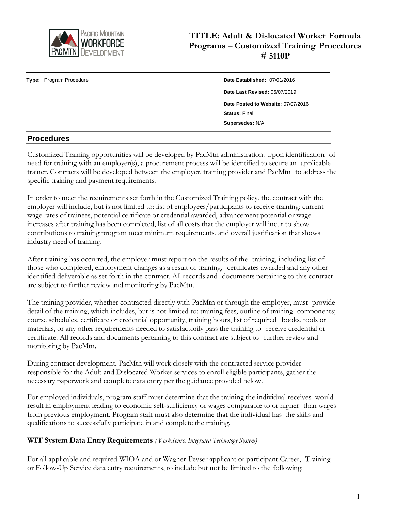

# **TITLE: Adult & Dislocated Worker Formula Programs – Customized Training Procedures # 5110P**

**Type:** Program Procedure **Date Established:** 07/01/2016

**Date Last Revised:** 06/07/2019 **Date Posted to Website:** 07/07/2016 **Status:** Final **Supersedes:** N/A

### **Procedures**

Customized Training opportunities will be developed by PacMtn administration. Upon identification of need for training with an employer(s), a procurement process will be identified to secure an applicable trainer. Contracts will be developed between the employer, training provider and PacMtn to address the specific training and payment requirements.

In order to meet the requirements set forth in the Customized Training policy, the contract with the employer will include, but is not limited to: list of employees/participants to receive training; current wage rates of trainees, potential certificate or credential awarded, advancement potential or wage increases after training has been completed, list of all costs that the employer will incur to show contributions to training program meet minimum requirements, and overall justification that shows industry need of training.

After training has occurred, the employer must report on the results of the training, including list of those who completed, employment changes as a result of training, certificates awarded and any other identified deliverable as set forth in the contract. All records and documents pertaining to this contract are subject to further review and monitoring by PacMtn.

The training provider, whether contracted directly with PacMtn or through the employer, must provide detail of the training, which includes, but is not limited to: training fees, outline of training components; course schedules, certificate or credential opportunity, training hours, list of required books, tools or materials, or any other requirements needed to satisfactorily pass the training to receive credential or certificate. All records and documents pertaining to this contract are subject to further review and monitoring by PacMtn.

During contract development, PacMtn will work closely with the contracted service provider responsible for the Adult and Dislocated Worker services to enroll eligible participants, gather the necessary paperwork and complete data entry per the guidance provided below.

For employed individuals, program staff must determine that the training the individual receives would result in employment leading to economic self-sufficiency or wages comparable to or higher than wages from previous employment. Program staff must also determine that the individual has the skills and qualifications to successfully participate in and complete the training.

#### **WIT System Data Entry Requirements** *(WorkSource Integrated Technology System)*

For all applicable and required WIOA and or Wagner-Peyser applicant or participant Career, Training or Follow-Up Service data entry requirements, to include but not be limited to the following: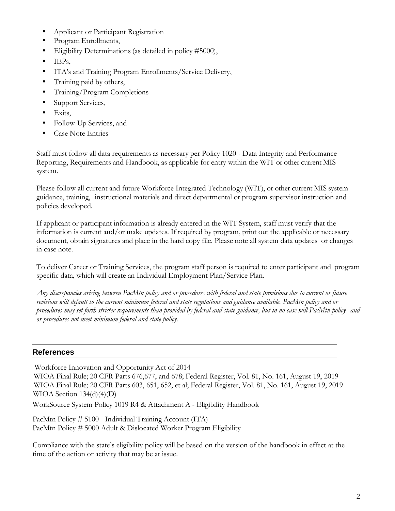- Applicant or Participant Registration
- Program Enrollments,
- Eligibility Determinations (as detailed in policy #5000),
- IEPs,
- ITA's and Training Program Enrollments/Service Delivery,
- Training paid by others,
- Training/Program Completions
- Support Services,
- Exits,
- Follow-Up Services, and
- Case Note Entries

Staff must follow all data requirements as necessary per Policy 1020 - Data Integrity and Performance Reporting, Requirements and Handbook, as applicable for entry within the WIT or other current MIS system.

Please follow all current and future Workforce Integrated Technology (WIT), or other current MIS system guidance, training, instructional materials and direct departmental or program supervisor instruction and policies developed.

If applicant or participant information is already entered in the WIT System, staff must verify that the information is current and/or make updates. If required by program, print out the applicable or necessary document, obtain signatures and place in the hard copy file. Please note all system data updates or changes in case note.

To deliver Career or Training Services, the program staff person is required to enter participant and program specific data, which will create an Individual Employment Plan/Service Plan.

Any discrepancies arising between PacMtn policy and or procedures with federal and state provisions due to current or future revisions will default to the current minimum federal and state regulations and guidance available. PacMtn policy and or procedures may set forth stricter requirements than provided by federal and state guidance, but in no case will PacMtn policy and *or procedures not meet minimum federal and state policy.*

## **References**

Workforce Innovation and Opportunity Act of 2014 WIOA Final Rule; 20 CFR Parts 676,677, and 678; Federal Register, Vol. 81, No. 161, August 19, 2019 WIOA Final Rule; 20 CFR Parts 603, 651, 652, et al; Federal Register, Vol. 81, No. 161, August 19, 2019 WIOA Section  $134(d)(4)(D)$ 

WorkSource System Policy 1019 R4 & Attachment A - Eligibility Handbook

PacMtn Policy # 5100 - Individual Training Account (ITA) PacMtn Policy # 5000 Adult & Dislocated Worker Program Eligibility

Compliance with the state's eligibility policy will be based on the version of the handbook in effect at the time of the action or activity that may be at issue.